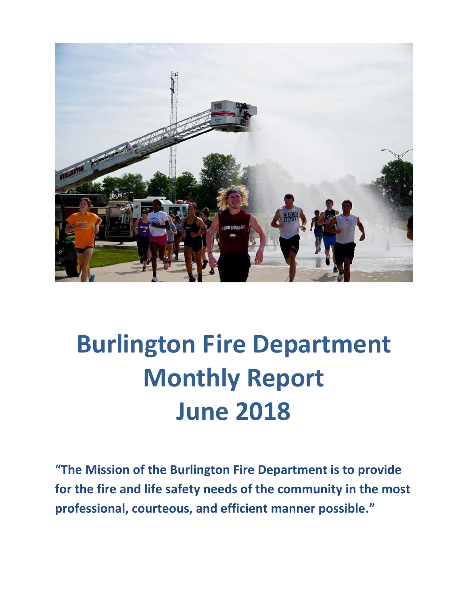

# **Burlington Fire Department Monthly Report June 2018**

**"The Mission of the Burlington Fire Department is to provide for the fire and life safety needs of the community in the most professional, courteous, and efficient manner possible."**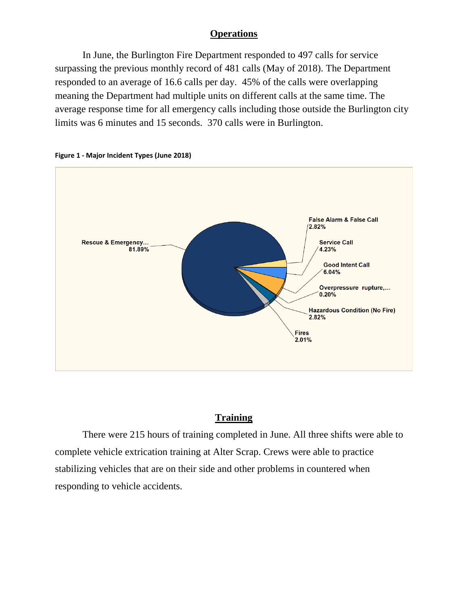## **Operations**

In June, the Burlington Fire Department responded to 497 calls for service surpassing the previous monthly record of 481 calls (May of 2018). The Department responded to an average of 16.6 calls per day. 45% of the calls were overlapping meaning the Department had multiple units on different calls at the same time. The average response time for all emergency calls including those outside the Burlington city limits was 6 minutes and 15 seconds. 370 calls were in Burlington.





## **Training**

There were 215 hours of training completed in June. All three shifts were able to complete vehicle extrication training at Alter Scrap. Crews were able to practice stabilizing vehicles that are on their side and other problems in countered when responding to vehicle accidents.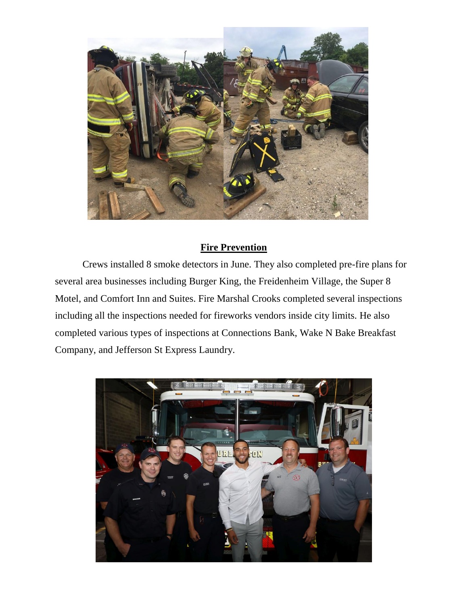

## **Fire Prevention**

Crews installed 8 smoke detectors in June. They also completed pre-fire plans for several area businesses including Burger King, the Freidenheim Village, the Super 8 Motel, and Comfort Inn and Suites. Fire Marshal Crooks completed several inspections including all the inspections needed for fireworks vendors inside city limits. He also completed various types of inspections at Connections Bank, Wake N Bake Breakfast Company, and Jefferson St Express Laundry.

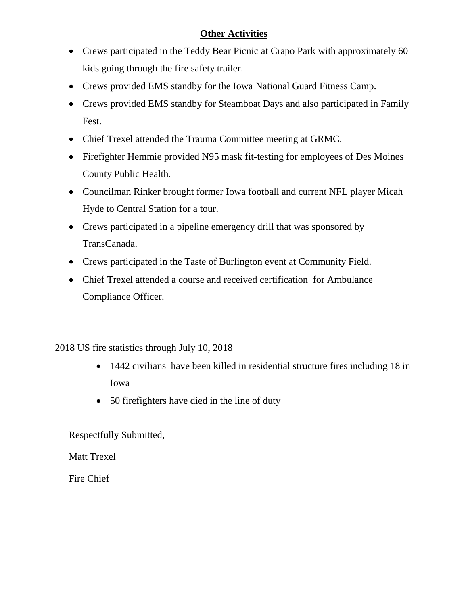# **Other Activities**

- Crews participated in the Teddy Bear Picnic at Crapo Park with approximately 60 kids going through the fire safety trailer.
- Crews provided EMS standby for the Iowa National Guard Fitness Camp.
- Crews provided EMS standby for Steamboat Days and also participated in Family Fest.
- Chief Trexel attended the Trauma Committee meeting at GRMC.
- Firefighter Hemmie provided N95 mask fit-testing for employees of Des Moines County Public Health.
- Councilman Rinker brought former Iowa football and current NFL player Micah Hyde to Central Station for a tour.
- Crews participated in a pipeline emergency drill that was sponsored by TransCanada.
- Crews participated in the Taste of Burlington event at Community Field.
- Chief Trexel attended a course and received certification for Ambulance Compliance Officer.

# 2018 US fire statistics through July 10, 2018

- 1442 civilians have been killed in residential structure fires including 18 in Iowa
- 50 firefighters have died in the line of duty

Respectfully Submitted,

Matt Trexel

Fire Chief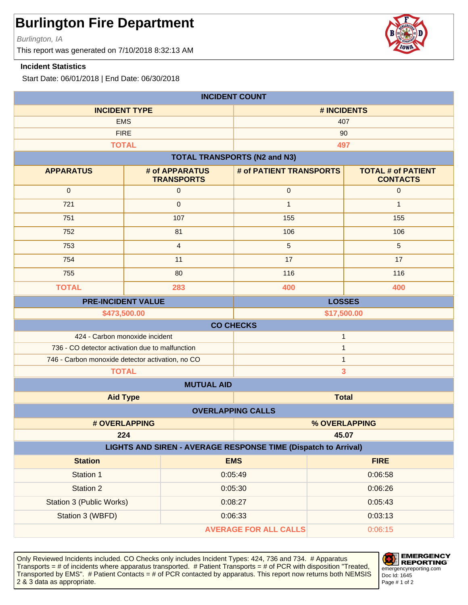Burlington, IA

This report was generated on 7/10/2018 8:32:13 AM

#### **Incident Statistics**

Start Date: 06/01/2018 | End Date: 06/30/2018

| <b>INCIDENT COUNT</b>                                                          |                                            |                                     |             |                                              |  |
|--------------------------------------------------------------------------------|--------------------------------------------|-------------------------------------|-------------|----------------------------------------------|--|
| <b>INCIDENT TYPE</b>                                                           |                                            |                                     | # INCIDENTS |                                              |  |
| <b>EMS</b>                                                                     |                                            |                                     | 407         |                                              |  |
| <b>FIRE</b>                                                                    |                                            |                                     | 90          |                                              |  |
| <b>TOTAL</b>                                                                   |                                            |                                     | 497         |                                              |  |
|                                                                                |                                            | <b>TOTAL TRANSPORTS (N2 and N3)</b> |             |                                              |  |
| <b>APPARATUS</b>                                                               | # of APPARATUS<br><b>TRANSPORTS</b>        | # of PATIENT TRANSPORTS             |             | <b>TOTAL # of PATIENT</b><br><b>CONTACTS</b> |  |
| $\mathbf 0$                                                                    | $\mathsf{O}\xspace$                        | $\mathbf 0$                         |             | $\mathbf 0$                                  |  |
| 721                                                                            | $\mathbf{0}$                               | $\mathbf{1}$                        |             | $\mathbf{1}$                                 |  |
| 751                                                                            | 107                                        | 155                                 |             | 155                                          |  |
| 752                                                                            | 81                                         | 106                                 |             | 106                                          |  |
| 753                                                                            | $\overline{4}$                             | 5                                   |             | $5\phantom{1}$                               |  |
| 754                                                                            | 11                                         | 17                                  |             | 17                                           |  |
| 755                                                                            | 80                                         | 116                                 |             | 116                                          |  |
| <b>TOTAL</b>                                                                   | 283                                        | 400                                 |             | 400                                          |  |
|                                                                                | <b>LOSSES</b><br><b>PRE-INCIDENT VALUE</b> |                                     |             |                                              |  |
|                                                                                | \$473,500.00                               |                                     | \$17,500.00 |                                              |  |
| <b>CO CHECKS</b>                                                               |                                            |                                     |             |                                              |  |
| 424 - Carbon monoxide incident<br>$\mathbf{1}$                                 |                                            |                                     |             |                                              |  |
| 736 - CO detector activation due to malfunction                                |                                            | $\mathbf{1}$                        |             |                                              |  |
| 746 - Carbon monoxide detector activation, no CO                               |                                            | $\mathbf{1}$                        |             |                                              |  |
| <b>TOTAL</b><br>3                                                              |                                            |                                     |             |                                              |  |
| <b>MUTUAL AID</b>                                                              |                                            |                                     |             |                                              |  |
| <b>Total</b><br><b>Aid Type</b>                                                |                                            |                                     |             |                                              |  |
| <b>OVERLAPPING CALLS</b>                                                       |                                            |                                     |             |                                              |  |
| # OVERLAPPING                                                                  |                                            | % OVERLAPPING                       |             |                                              |  |
| 224<br>45.07<br>LIGHTS AND SIREN - AVERAGE RESPONSE TIME (Dispatch to Arrival) |                                            |                                     |             |                                              |  |
| <b>Station</b>                                                                 |                                            | <b>EMS</b>                          |             | <b>FIRE</b>                                  |  |
| Station 1                                                                      |                                            | 0:05:49                             |             | 0:06:58                                      |  |
| <b>Station 2</b>                                                               |                                            | 0:05:30                             | 0:06:26     |                                              |  |
| Station 3 (Public Works)                                                       |                                            | 0:08:27                             | 0:05:43     |                                              |  |
| Station 3 (WBFD)                                                               |                                            | 0:06:33                             | 0:03:13     |                                              |  |
|                                                                                |                                            | <b>AVERAGE FOR ALL CALLS</b>        |             | 0:06:15                                      |  |
|                                                                                |                                            |                                     |             |                                              |  |

Only Reviewed Incidents included. CO Checks only includes Incident Types: 424, 736 and 734. # Apparatus Transports = # of incidents where apparatus transported. # Patient Transports = # of PCR with disposition "Treated, Transported by EMS". # Patient Contacts = # of PCR contacted by apparatus. This report now returns both NEMSIS 2 & 3 data as appropriate. The set of 2 set of 2 set of 2 set of 2 set of 2 set of 2 set of 2 set of 2 set of 2



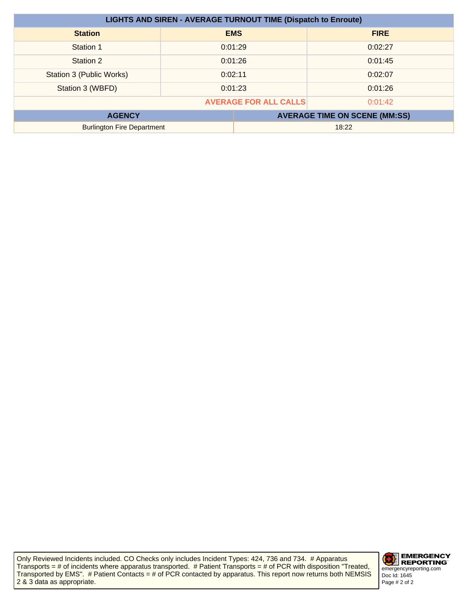| <b>LIGHTS AND SIREN - AVERAGE TURNOUT TIME (Dispatch to Enroute)</b> |         |            |                                      |
|----------------------------------------------------------------------|---------|------------|--------------------------------------|
| <b>Station</b>                                                       |         | <b>EMS</b> | <b>FIRE</b>                          |
| Station 1                                                            | 0:01:29 |            | 0:02:27                              |
| Station 2                                                            | 0:01:26 |            | 0:01:45                              |
| Station 3 (Public Works)                                             | 0:02:11 |            | 0:02:07                              |
| Station 3 (WBFD)                                                     | 0:01:23 |            | 0:01:26                              |
| <b>AVERAGE FOR ALL CALLS</b><br>0:01:42                              |         |            |                                      |
| <b>AGENCY</b>                                                        |         |            | <b>AVERAGE TIME ON SCENE (MM:SS)</b> |
| <b>Burlington Fire Department</b>                                    |         | 18:22      |                                      |

Only Reviewed Incidents included. CO Checks only includes Incident Types: 424, 736 and 734. # Apparatus Transports = # of incidents where apparatus transported. # Patient Transports = # of PCR with disposition "Treated, Transported by EMS". # Patient Contacts = # of PCR contacted by apparatus. This report now returns both NEMSIS 2 & 3 data as appropriate.

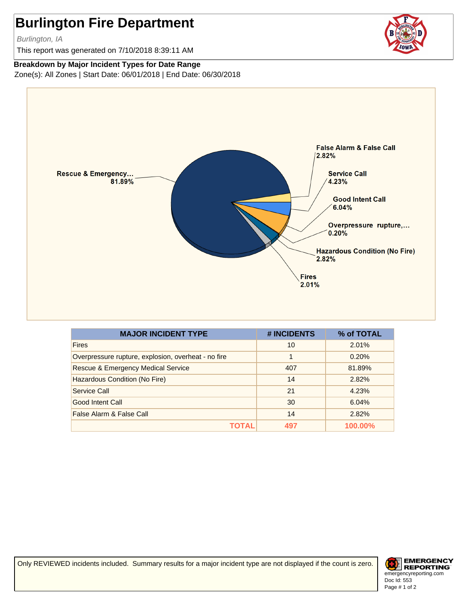Burlington, IA

This report was generated on 7/10/2018 8:39:11 AM

#### **Breakdown by Major Incident Types for Date Range**

Zone(s): All Zones | Start Date: 06/01/2018 | End Date: 06/30/2018



| <b>MAJOR INCIDENT TYPE</b>                          | # INCIDENTS | % of TOTAL |
|-----------------------------------------------------|-------------|------------|
| <b>Fires</b>                                        | 10          | 2.01%      |
| Overpressure rupture, explosion, overheat - no fire | 1           | 0.20%      |
| <b>Rescue &amp; Emergency Medical Service</b>       | 407         | 81.89%     |
| Hazardous Condition (No Fire)                       | 14          | 2.82%      |
| Service Call                                        | 21          | 4.23%      |
| Good Intent Call                                    | 30          | 6.04%      |
| False Alarm & False Call                            | 14          | 2.82%      |
|                                                     | 497         | 100.00%    |

Only REVIEWED incidents included. Summary results for a major incident type are not displayed if the count is zero.



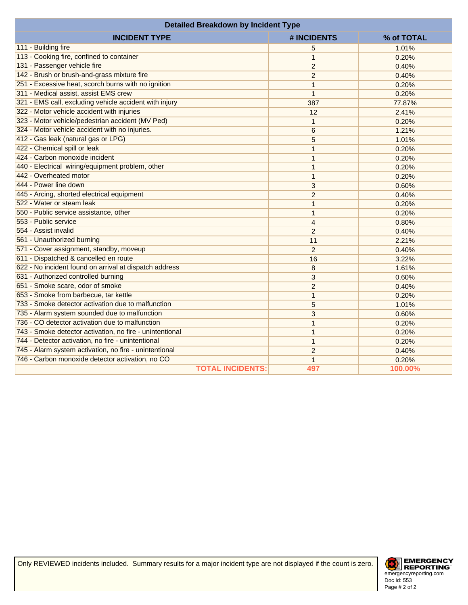| <b>Detailed Breakdown by Incident Type</b>               |                |            |  |
|----------------------------------------------------------|----------------|------------|--|
| <b>INCIDENT TYPE</b>                                     | # INCIDENTS    | % of TOTAL |  |
| 111 - Building fire                                      | 5              | 1.01%      |  |
| 113 - Cooking fire, confined to container                | $\mathbf{1}$   | 0.20%      |  |
| 131 - Passenger vehicle fire                             | $\overline{2}$ | 0.40%      |  |
| 142 - Brush or brush-and-grass mixture fire              | $\overline{2}$ | 0.40%      |  |
| 251 - Excessive heat, scorch burns with no ignition      | $\mathbf{1}$   | 0.20%      |  |
| 311 - Medical assist, assist EMS crew                    | $\mathbf{1}$   | 0.20%      |  |
| 321 - EMS call, excluding vehicle accident with injury   | 387            | 77.87%     |  |
| 322 - Motor vehicle accident with injuries               | 12             | 2.41%      |  |
| 323 - Motor vehicle/pedestrian accident (MV Ped)         | $\mathbf{1}$   | 0.20%      |  |
| 324 - Motor vehicle accident with no injuries.           | 6              | 1.21%      |  |
| 412 - Gas leak (natural gas or LPG)                      | 5              | 1.01%      |  |
| 422 - Chemical spill or leak                             | 1              | 0.20%      |  |
| 424 - Carbon monoxide incident                           | 1              | 0.20%      |  |
| 440 - Electrical wiring/equipment problem, other         | $\mathbf{1}$   | 0.20%      |  |
| 442 - Overheated motor                                   | $\mathbf{1}$   | 0.20%      |  |
| 444 - Power line down                                    | 3              | 0.60%      |  |
| 445 - Arcing, shorted electrical equipment               | $\overline{2}$ | 0.40%      |  |
| 522 - Water or steam leak                                | $\mathbf{1}$   | 0.20%      |  |
| 550 - Public service assistance, other                   | $\mathbf{1}$   | 0.20%      |  |
| 553 - Public service                                     | $\overline{4}$ | 0.80%      |  |
| 554 - Assist invalid                                     | 2              | 0.40%      |  |
| 561 - Unauthorized burning                               | 11             | 2.21%      |  |
| 571 - Cover assignment, standby, moveup                  | $\overline{2}$ | 0.40%      |  |
| 611 - Dispatched & cancelled en route                    | 16             | 3.22%      |  |
| 622 - No incident found on arrival at dispatch address   | 8              | 1.61%      |  |
| 631 - Authorized controlled burning                      | 3              | 0.60%      |  |
| 651 - Smoke scare, odor of smoke                         | $\overline{2}$ | 0.40%      |  |
| 653 - Smoke from barbecue, tar kettle                    | 1              | 0.20%      |  |
| 733 - Smoke detector activation due to malfunction       | 5              | 1.01%      |  |
| 735 - Alarm system sounded due to malfunction            | 3              | 0.60%      |  |
| 736 - CO detector activation due to malfunction          | 1              | 0.20%      |  |
| 743 - Smoke detector activation, no fire - unintentional | 1              | 0.20%      |  |
| 744 - Detector activation, no fire - unintentional       | $\mathbf{1}$   | 0.20%      |  |
| 745 - Alarm system activation, no fire - unintentional   | $\overline{2}$ | 0.40%      |  |
| 746 - Carbon monoxide detector activation, no CO         | 1              | 0.20%      |  |
| <b>TOTAL INCIDENTS:</b>                                  | 497            | 100.00%    |  |

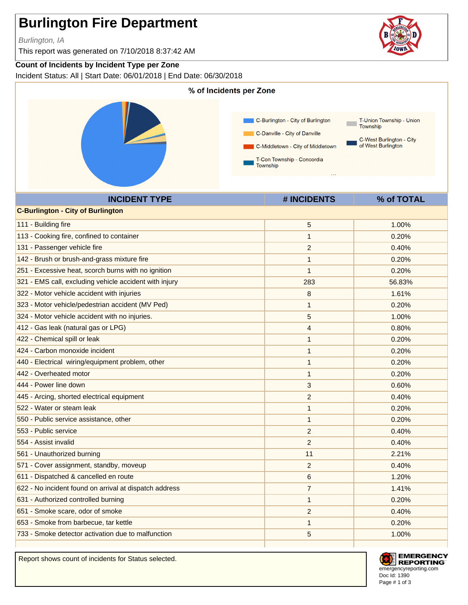Burlington, IA

This report was generated on 7/10/2018 8:37:42 AM

### **Count of Incidents by Incident Type per Zone**

Incident Status: All | Start Date: 06/01/2018 | End Date: 06/30/2018



Report shows count of incidents for Status selected.



**EMERGENCY REPORTING** emergencyreporting.com Doc Id: 1390 Page # 1 of 3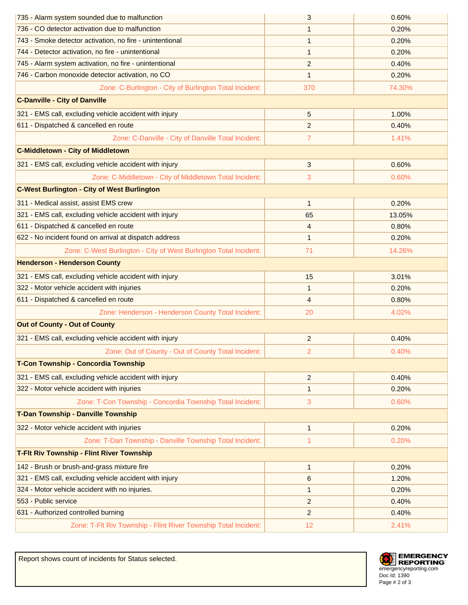| 735 - Alarm system sounded due to malfunction                     | 3              | 0.60%  |
|-------------------------------------------------------------------|----------------|--------|
| 736 - CO detector activation due to malfunction                   | 1              | 0.20%  |
| 743 - Smoke detector activation, no fire - unintentional          | $\mathbf{1}$   | 0.20%  |
| 744 - Detector activation, no fire - unintentional                | $\mathbf{1}$   | 0.20%  |
| 745 - Alarm system activation, no fire - unintentional            | $\overline{c}$ | 0.40%  |
| 746 - Carbon monoxide detector activation, no CO                  | $\mathbf{1}$   | 0.20%  |
| Zone: C-Burlington - City of Burlington Total Incident:           | 370            | 74.30% |
| <b>C-Danville - City of Danville</b>                              |                |        |
| 321 - EMS call, excluding vehicle accident with injury            | 5              | 1.00%  |
| 611 - Dispatched & cancelled en route                             | $\overline{2}$ | 0.40%  |
| Zone: C-Danville - City of Danville Total Incident:               | $\overline{7}$ | 1.41%  |
| <b>C-Middletown - City of Middletown</b>                          |                |        |
| 321 - EMS call, excluding vehicle accident with injury            | 3              | 0.60%  |
| Zone: C-Middletown - City of Middletown Total Incident:           | 3              | 0.60%  |
| <b>C-West Burlington - City of West Burlington</b>                |                |        |
| 311 - Medical assist, assist EMS crew                             | $\mathbf{1}$   | 0.20%  |
| 321 - EMS call, excluding vehicle accident with injury            | 65             | 13.05% |
| 611 - Dispatched & cancelled en route                             | 4              | 0.80%  |
| 622 - No incident found on arrival at dispatch address            | $\mathbf{1}$   | 0.20%  |
| Zone: C-West Burlington - City of West Burlington Total Incident: | 71             | 14.26% |
| <b>Henderson - Henderson County</b>                               |                |        |
| 321 - EMS call, excluding vehicle accident with injury            | 15             | 3.01%  |
| 322 - Motor vehicle accident with injuries                        | $\mathbf{1}$   | 0.20%  |
| 611 - Dispatched & cancelled en route                             | 4              | 0.80%  |
| Zone: Henderson - Henderson County Total Incident:                | 20             | 4.02%  |
| <b>Out of County - Out of County</b>                              |                |        |
| 321 - EMS call, excluding vehicle accident with injury            | $\overline{c}$ | 0.40%  |
| Zone: Out of County - Out of County Total Incident:               | $\overline{2}$ | 0.40%  |
| T-Con Township - Concordia Township                               |                |        |
| 321 - EMS call, excluding vehicle accident with injury            | $\overline{2}$ | 0.40%  |
| 322 - Motor vehicle accident with injuries                        | $\mathbf{1}$   | 0.20%  |
| Zone: T-Con Township - Concordia Township Total Incident:         | 3              | 0.60%  |
| T-Dan Township - Danville Township                                |                |        |
| 322 - Motor vehicle accident with injuries                        | 1              | 0.20%  |
| Zone: T-Dan Township - Danville Township Total Incident:          | 1              | 0.20%  |
| T-Flt Riv Township - Flint River Township                         |                |        |
| 142 - Brush or brush-and-grass mixture fire                       | $\mathbf{1}$   | 0.20%  |
| 321 - EMS call, excluding vehicle accident with injury            | 6              | 1.20%  |
| 324 - Motor vehicle accident with no injuries.                    | $\mathbf{1}$   | 0.20%  |
| 553 - Public service                                              | $\overline{c}$ | 0.40%  |
| 631 - Authorized controlled burning                               | $\overline{c}$ | 0.40%  |
| Zone: T-Flt Riv Township - Flint River Township Total Incident:   | 12             | 2.41%  |



Report shows count of incidents for Status selected.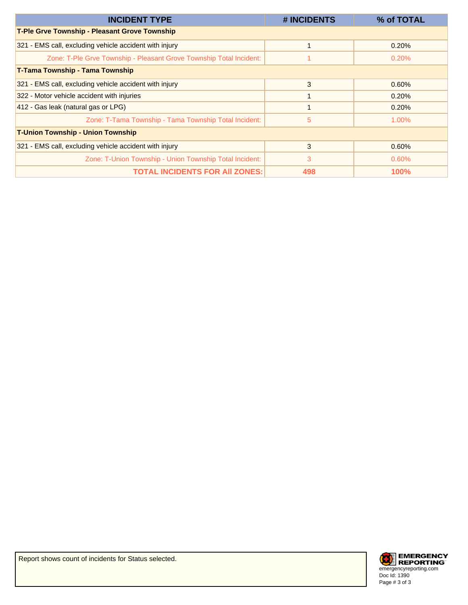| <b>INCIDENT TYPE</b>                                                | # INCIDENTS | % of TOTAL  |
|---------------------------------------------------------------------|-------------|-------------|
| T-Ple Grve Township - Pleasant Grove Township                       |             |             |
| 321 - EMS call, excluding vehicle accident with injury              |             | 0.20%       |
| Zone: T-Ple Grve Township - Pleasant Grove Township Total Incident: |             | 0.20%       |
| <b>T-Tama Township - Tama Township</b>                              |             |             |
| 321 - EMS call, excluding vehicle accident with injury              | 3           | 0.60%       |
| 322 - Motor vehicle accident with injuries                          |             | 0.20%       |
| 412 - Gas leak (natural gas or LPG)                                 | 1           | 0.20%       |
| Zone: T-Tama Township - Tama Township Total Incident:               | 5           | 1.00%       |
| <b>T-Union Township - Union Township</b>                            |             |             |
| 321 - EMS call, excluding vehicle accident with injury              | 3           | 0.60%       |
| Zone: T-Union Township - Union Township Total Incident:             | 3           | $0.60\%$    |
| <b>TOTAL INCIDENTS FOR AII ZONES:</b>                               | 498         | <b>100%</b> |

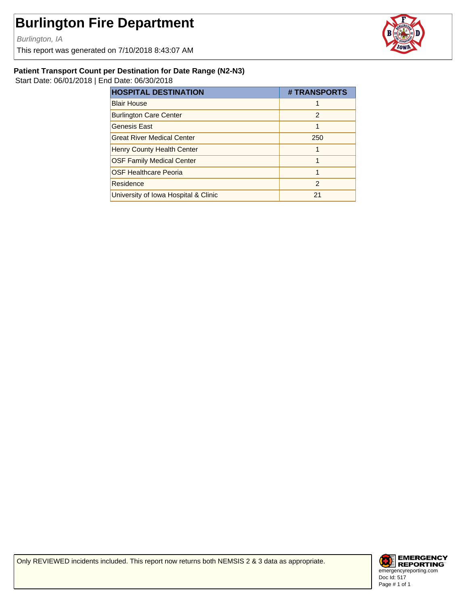Burlington, IA

This report was generated on 7/10/2018 8:43:07 AM



#### **Patient Transport Count per Destination for Date Range (N2-N3)**

Start Date: 06/01/2018 | End Date: 06/30/2018

| <b>HOSPITAL DESTINATION</b>          | # TRANSPORTS   |
|--------------------------------------|----------------|
| <b>Blair House</b>                   |                |
| <b>Burlington Care Center</b>        | $\mathfrak{p}$ |
| <b>Genesis East</b>                  |                |
| <b>Great River Medical Center</b>    | 250            |
| <b>Henry County Health Center</b>    |                |
| <b>OSF Family Medical Center</b>     |                |
| <b>OSF Healthcare Peoria</b>         |                |
| Residence                            | $\mathfrak{p}$ |
| University of Iowa Hospital & Clinic | 21             |

Only REVIEWED incidents included. This report now returns both NEMSIS 2 & 3 data as appropriate.

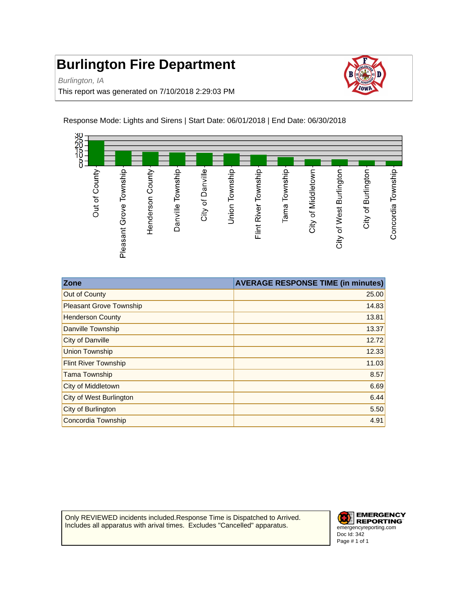Burlington, IA

This report was generated on 7/10/2018 2:29:03 PM





| <b>Zone</b>                    | <b>AVERAGE RESPONSE TIME (in minutes)</b> |
|--------------------------------|-------------------------------------------|
| Out of County                  | 25.00                                     |
| <b>Pleasant Grove Township</b> | 14.83                                     |
| <b>Henderson County</b>        | 13.81                                     |
| Danville Township              | 13.37                                     |
| <b>City of Danville</b>        | 12.72                                     |
| <b>Union Township</b>          | 12.33                                     |
| <b>Flint River Township</b>    | 11.03                                     |
| <b>Tama Township</b>           | 8.57                                      |
| City of Middletown             | 6.69                                      |
| City of West Burlington        | 6.44                                      |
| City of Burlington             | 5.50                                      |
| Concordia Township             | 4.91                                      |

Only REVIEWED incidents included.Response Time is Dispatched to Arrived. Includes all apparatus with arival times. Excludes "Cancelled" apparatus.

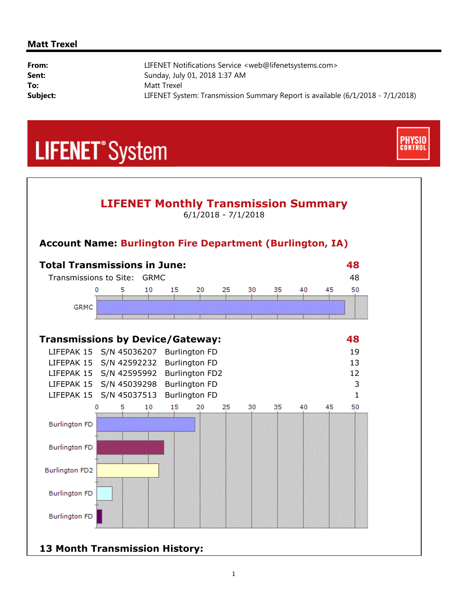#### **Matt Trexel**

| From:    | LIFENET Notifications Service <web@lifenetsystems.com></web@lifenetsystems.com> |
|----------|---------------------------------------------------------------------------------|
| Sent:    | Sunday, July 01, 2018 1:37 AM                                                   |
| To:      | Matt Trexel                                                                     |
| Subject: | LIFENET System: Transmission Summary Report is available (6/1/2018 - 7/1/2018)  |





**CONTRO** 

# **13 Month Transmission History:**